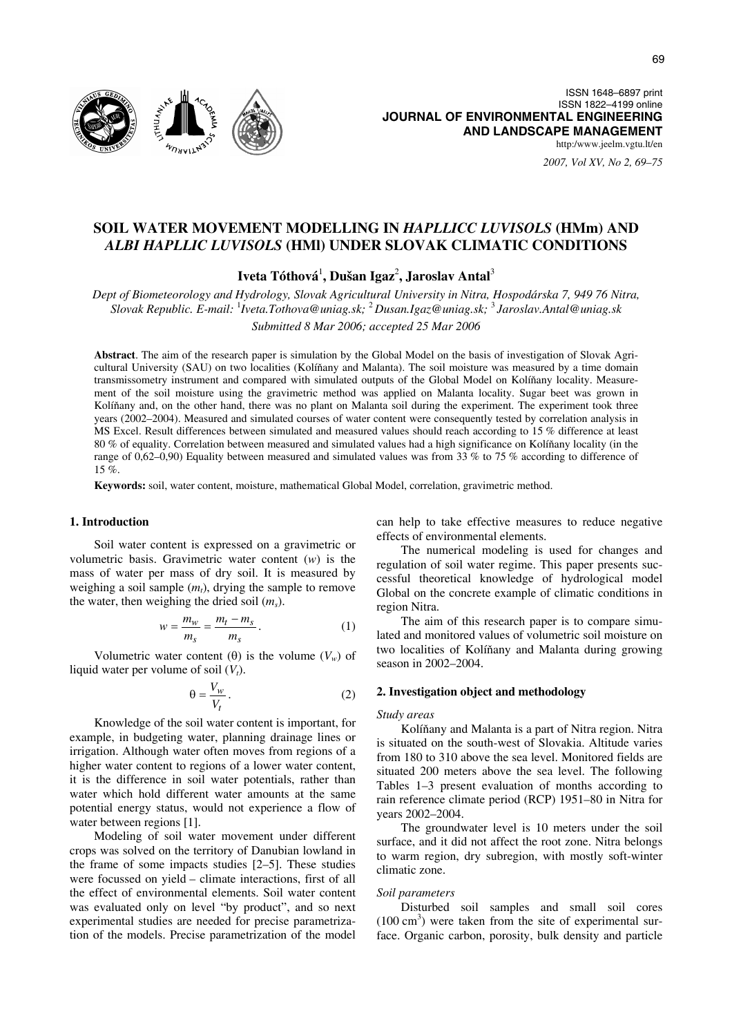

*2007, Vol XV, No 2, 69–75*

# **SOIL WATER MOVEMENT MODELLING IN** *HAPLLICC LUVISOLS* **(HMm) AND**  *ALBI HAPLLIC LUVISOLS* **(HMl) UNDER SLOVAK CLIMATIC CONDITIONS**

Iveta Tóthová<sup>1</sup>, Dušan Igaz<sup>2</sup>, Jaroslav Antal<sup>3</sup>

*Dept of Biometeorology and Hydrology, Slovak Agricultural University in Nitra, Hospodárska 7, 949 76 Nitra, Slovak Republic. E-mail:* <sup>1</sup> *Iveta.Tothova@uniag.sk;* <sup>2</sup>*Dusan.Igaz@uniag.sk;* <sup>3</sup>*Jaroslav.Antal@uniag.sk Submitted 8 Mar 2006; accepted 25 Mar 2006* 

**Abstract**. The aim of the research paper is simulation by the Global Model on the basis of investigation of Slovak Agricultural University (SAU) on two localities (Kolíňany and Malanta). The soil moisture was measured by a time domain transmissometry instrument and compared with simulated outputs of the Global Model on Kolíňany locality. Measurement of the soil moisture using the gravimetric method was applied on Malanta locality. Sugar beet was grown in Kolíňany and, on the other hand, there was no plant on Malanta soil during the experiment. The experiment took three years (2002–2004). Measured and simulated courses of water content were consequently tested by correlation analysis in MS Excel. Result differences between simulated and measured values should reach according to 15 % difference at least 80 % of equality. Correlation between measured and simulated values had a high significance on Kolíňany locality (in the range of 0,62–0,90) Equality between measured and simulated values was from 33 % to 75 % according to difference of 15 %

**Keywords:** soil, water content, moisture, mathematical Global Model, correlation, gravimetric method.

### **1. Introduction**

Soil water content is expressed on a gravimetric or volumetric basis. Gravimetric water content (*w*) is the mass of water per mass of dry soil. It is measured by weighing a soil sample  $(m_t)$ , drying the sample to remove the water, then weighing the dried soil (*ms*).

$$
w = \frac{m_w}{m_s} = \frac{m_t - m_s}{m_s}.
$$
 (1)

Volumetric water content (θ) is the volume  $(V_w)$  of liquid water per volume of soil  $(V_t)$ .

$$
\theta = \frac{V_w}{V_t} \,. \tag{2}
$$

Knowledge of the soil water content is important, for example, in budgeting water, planning drainage lines or irrigation. Although water often moves from regions of a higher water content to regions of a lower water content, it is the difference in soil water potentials, rather than water which hold different water amounts at the same potential energy status, would not experience a flow of water between regions [1].

Modeling of soil water movement under different crops was solved on the territory of Danubian lowland in the frame of some impacts studies [2–5]. These studies were focussed on yield – climate interactions, first of all the effect of environmental elements. Soil water content was evaluated only on level "by product", and so next experimental studies are needed for precise parametrization of the models. Precise parametrization of the model

can help to take effective measures to reduce negative effects of environmental elements.

The numerical modeling is used for changes and regulation of soil water regime. This paper presents successful theoretical knowledge of hydrological model Global on the concrete example of climatic conditions in region Nitra.

The aim of this research paper is to compare simulated and monitored values of volumetric soil moisture on two localities of Kolíňany and Malanta during growing season in 2002–2004.

### **2. Investigation object and methodology**

### *Study areas*

Kolíňany and Malanta is a part of Nitra region. Nitra is situated on the south-west of Slovakia. Altitude varies from 180 to 310 above the sea level. Monitored fields are situated 200 meters above the sea level. The following Tables 1–3 present evaluation of months according to rain reference climate period (RCP) 1951–80 in Nitra for years 2002–2004.

The groundwater level is 10 meters under the soil surface, and it did not affect the root zone. Nitra belongs to warm region, dry subregion, with mostly soft-winter climatic zone.

### *Soil parameters*

Disturbed soil samples and small soil cores  $(100 \text{ cm}^3)$  were taken from the site of experimental surface. Organic carbon, porosity, bulk density and particle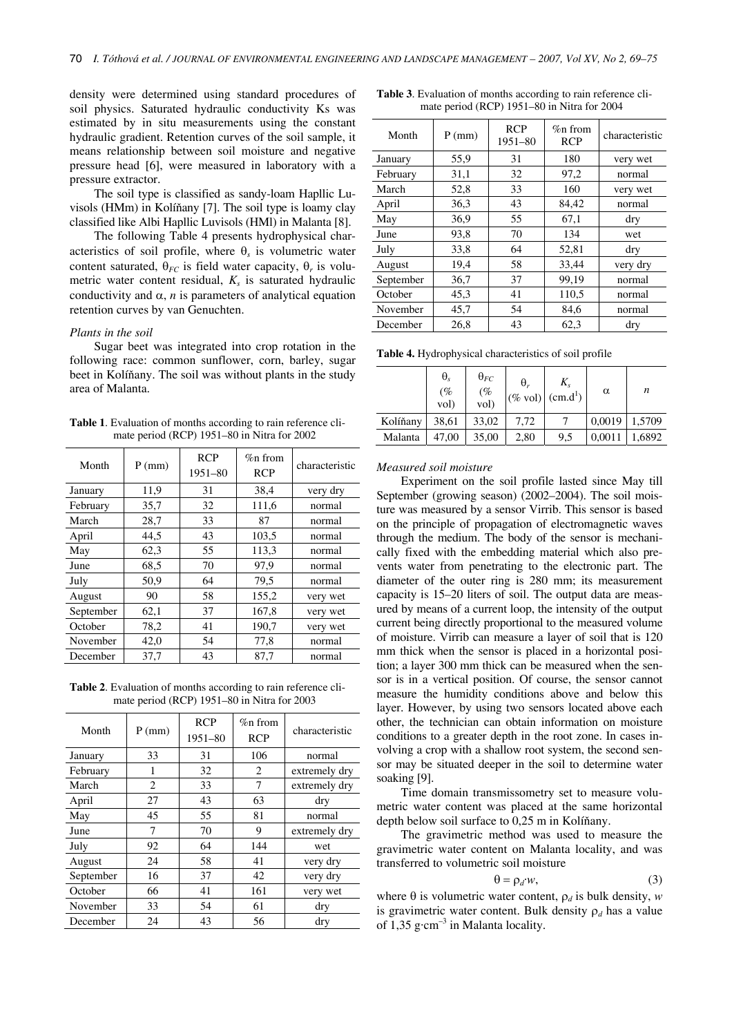density were determined using standard procedures of soil physics. Saturated hydraulic conductivity Ks was estimated by in situ measurements using the constant hydraulic gradient. Retention curves of the soil sample, it means relationship between soil moisture and negative pressure head [6], were measured in laboratory with a pressure extractor.

The soil type is classified as sandy-loam Hapllic Luvisols (HMm) in Kolíňany [7]. The soil type is loamy clay classified like Albi Hapllic Luvisols (HMl) in Malanta [8].

The following Table 4 presents hydrophysical characteristics of soil profile, where  $\theta_s$  is volumetric water content saturated,  $\theta_{FC}$  is field water capacity,  $\theta_r$  is volumetric water content residual,  $K<sub>s</sub>$  is saturated hydraulic conductivity and  $\alpha$ , *n* is parameters of analytical equation retention curves by van Genuchten.

### *Plants in the soil*

Sugar beet was integrated into crop rotation in the following race: common sunflower, corn, barley, sugar beet in Kolíňany. The soil was without plants in the study area of Malanta.

**Table 1**. Evaluation of months according to rain reference climate period (RCP) 1951–80 in Nitra for 2002

| Month     | $P$ (mm) | <b>RCP</b><br>$1951 - 80$ | $\%$ n from<br><b>RCP</b> | characteristic |  |
|-----------|----------|---------------------------|---------------------------|----------------|--|
| January   | 11,9     | 31                        | 38,4                      | very dry       |  |
| February  | 35,7     | 32                        | 111,6                     | normal         |  |
| March     | 28,7     | 33                        | 87                        | normal         |  |
| April     | 44,5     | 43                        | 103,5                     | normal         |  |
| May       | 62,3     | 55                        | 113,3                     | normal         |  |
| June      | 68,5     | 70                        | 97.9                      | normal         |  |
| July      | 50,9     | 64                        | 79,5                      | normal         |  |
| August    | 90       | 58                        | 155,2                     | very wet       |  |
| September | 62,1     | 37                        | 167,8                     | very wet       |  |
| October   | 78,2     | 41                        | 190,7                     | very wet       |  |
| November  | 42,0     | 54                        | 77,8                      | normal         |  |
| December  | 37,7     | 43                        | 87,7                      | normal         |  |

**Table 2**. Evaluation of months according to rain reference climate period (RCP) 1951–80 in Nitra for 2003

| $P$ (mm) | <b>RCP</b><br>$1951 - 80$ | $\%$ n from<br><b>RCP</b> | characteristic |  |
|----------|---------------------------|---------------------------|----------------|--|
| 33       | 31                        | 106                       | normal         |  |
| 1        | 32                        | 2                         | extremely dry  |  |
| 2        | 33                        | 7                         | extremely dry  |  |
| 27       | 43                        | 63                        | dry            |  |
| 45       | 55                        | 81                        | normal         |  |
| 7        | 70                        | 9                         | extremely dry  |  |
| 92       | 64                        | 144                       | wet            |  |
| 24       | 58                        | 41                        | very dry       |  |
| 16       | 37                        | 42                        | very dry       |  |
| 66       | 41                        | 161                       | very wet       |  |
| 33       | 54                        | 61                        | dry            |  |
| 24       | 43                        | 56                        | dry            |  |
|          |                           |                           |                |  |

**Table 3**. Evaluation of months according to rain reference climate period (RCP) 1951–80 in Nitra for 2004

| Month     | $P$ (mm) | <b>RCP</b><br>$1951 - 80$ | $%$ n from<br><b>RCP</b> | characteristic |  |
|-----------|----------|---------------------------|--------------------------|----------------|--|
| January   | 55,9     | 31                        | 180                      | very wet       |  |
| February  | 31,1     | 32                        | 97,2                     | normal         |  |
| March     | 52,8     | 33                        | 160                      | very wet       |  |
| April     | 36,3     | 43                        | 84,42                    | normal         |  |
| May       | 36,9     | 55                        | 67,1                     | dry            |  |
| June      | 93,8     | 70                        | 134                      | wet            |  |
| July      | 33,8     | 64                        | 52,81                    | dry            |  |
| August    | 19,4     | 58                        | 33,44                    | very dry       |  |
| September | 36,7     | 37                        | 99,19                    | normal         |  |
| October   | 45,3     | 41                        | 110,5                    | normal         |  |
| November  | 45,7     | 54                        | 84.6                     | normal         |  |
| December  | 26,8     | 43                        | 62,3                     | dry            |  |

**Table 4.** Hydrophysical characteristics of soil profile

|          | $\theta_s$<br>$\mathcal{C}^{\prime\prime}_{0}$<br>vol) | $\theta_{FC}$<br>$\frac{(%)}{vol}$ | $\theta_r$<br>$(\% \text{ vol})$ (cm.d <sup>1</sup> ) | $K_{s}$ | α      | n      |
|----------|--------------------------------------------------------|------------------------------------|-------------------------------------------------------|---------|--------|--------|
| Kolíňany | 38,61                                                  | 33,02                              | 7,72                                                  |         | 0,0019 | 1,5709 |
| Malanta  | 47,00                                                  | 35,00                              | 2,80                                                  | 9,5     | 0,0011 | 1,6892 |

#### *Measured soil moisture*

Experiment on the soil profile lasted since May till September (growing season) (2002–2004). The soil moisture was measured by a sensor Virrib. This sensor is based on the principle of propagation of electromagnetic waves through the medium. The body of the sensor is mechanically fixed with the embedding material which also prevents water from penetrating to the electronic part. The diameter of the outer ring is 280 mm; its measurement capacity is 15–20 liters of soil. The output data are measured by means of a current loop, the intensity of the output current being directly proportional to the measured volume of moisture. Virrib can measure a layer of soil that is 120 mm thick when the sensor is placed in a horizontal position; a layer 300 mm thick can be measured when the sensor is in a vertical position. Of course, the sensor cannot measure the humidity conditions above and below this layer. However, by using two sensors located above each other, the technician can obtain information on moisture conditions to a greater depth in the root zone. In cases involving a crop with a shallow root system, the second sensor may be situated deeper in the soil to determine water soaking [9].

Time domain transmissometry set to measure volumetric water content was placed at the same horizontal depth below soil surface to 0,25 m in Kolíňany.

The gravimetric method was used to measure the gravimetric water content on Malanta locality, and was transferred to volumetric soil moisture

$$
\theta = \rho_d w,\tag{3}
$$

where  $\theta$  is volumetric water content,  $\rho_d$  is bulk density, *w* is gravimetric water content. Bulk density ρ*d* has a value of  $1,35$  g·cm<sup>-3</sup> in Malanta locality.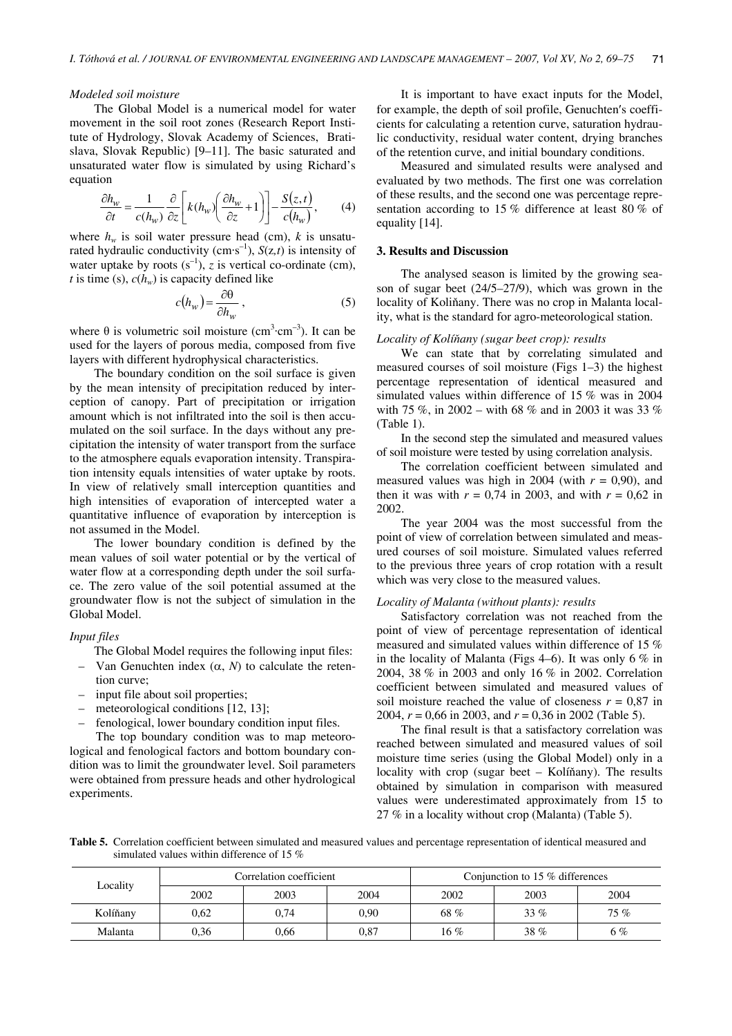#### *Modeled soil moisture*

The Global Model is a numerical model for water movement in the soil root zones (Research Report Institute of Hydrology, Slovak Academy of Sciences, Bratislava, Slovak Republic) [9–11]. The basic saturated and unsaturated water flow is simulated by using Richard's equation

$$
\frac{\partial h_w}{\partial t} = \frac{1}{c(h_w)} \frac{\partial}{\partial z} \left[ k(h_w) \left( \frac{\partial h_w}{\partial z} + 1 \right) \right] - \frac{S(z, t)}{c(h_w)},\tag{4}
$$

where  $h_w$  is soil water pressure head (cm),  $k$  is unsaturated hydraulic conductivity  $(cm·s^{-1})$ ,  $S(z,t)$  is intensity of water uptake by roots  $(s^{-1})$ , *z* is vertical co-ordinate (cm), *t* is time (s),  $c(h_w)$  is capacity defined like

$$
c(h_w) = \frac{\partial \theta}{\partial h_w} \,, \tag{5}
$$

where  $\theta$  is volumetric soil moisture (cm<sup>3</sup>·cm<sup>-3</sup>). It can be used for the layers of porous media, composed from five layers with different hydrophysical characteristics.

The boundary condition on the soil surface is given by the mean intensity of precipitation reduced by interception of canopy. Part of precipitation or irrigation amount which is not infiltrated into the soil is then accumulated on the soil surface. In the days without any precipitation the intensity of water transport from the surface to the atmosphere equals evaporation intensity. Transpiration intensity equals intensities of water uptake by roots. In view of relatively small interception quantities and high intensities of evaporation of intercepted water a quantitative influence of evaporation by interception is not assumed in the Model.

The lower boundary condition is defined by the mean values of soil water potential or by the vertical of water flow at a corresponding depth under the soil surface. The zero value of the soil potential assumed at the groundwater flow is not the subject of simulation in the Global Model.

### *Input files*

The Global Model requires the following input files:

- Van Genuchten index (α, *N*) to calculate the retention curve;
- input file about soil properties;
- meteorological conditions [12, 13];
- fenological, lower boundary condition input files.

The top boundary condition was to map meteorological and fenological factors and bottom boundary condition was to limit the groundwater level. Soil parameters were obtained from pressure heads and other hydrological experiments.

It is important to have exact inputs for the Model, for example, the depth of soil profile, Genuchten′s coefficients for calculating a retention curve, saturation hydraulic conductivity, residual water content, drying branches of the retention curve, and initial boundary conditions.

Measured and simulated results were analysed and evaluated by two methods. The first one was correlation of these results, and the second one was percentage representation according to 15 % difference at least 80 % of equality [14].

#### **3. Results and Discussion**

The analysed season is limited by the growing season of sugar beet (24/5–27/9), which was grown in the locality of Koliňany. There was no crop in Malanta locality, what is the standard for agro-meteorological station.

### *Locality of Kolí*ň*any (sugar beet crop): results*

We can state that by correlating simulated and measured courses of soil moisture (Figs 1–3) the highest percentage representation of identical measured and simulated values within difference of 15 % was in 2004 with 75 %, in 2002 – with 68 % and in 2003 it was 33 % (Table 1).

In the second step the simulated and measured values of soil moisture were tested by using correlation analysis.

The correlation coefficient between simulated and measured values was high in 2004 (with  $r = 0.90$ ), and then it was with  $r = 0.74$  in 2003, and with  $r = 0.62$  in 2002.

The year 2004 was the most successful from the point of view of correlation between simulated and measured courses of soil moisture. Simulated values referred to the previous three years of crop rotation with a result which was very close to the measured values.

### *Locality of Malanta (without plants): results*

Satisfactory correlation was not reached from the point of view of percentage representation of identical measured and simulated values within difference of 15 % in the locality of Malanta (Figs 4–6). It was only 6  $\%$  in 2004, 38 % in 2003 and only 16 % in 2002. Correlation coefficient between simulated and measured values of soil moisture reached the value of closeness  $r = 0.87$  in 2004, *r* = 0,66 in 2003, and *r* = 0,36 in 2002 (Table 5).

The final result is that a satisfactory correlation was reached between simulated and measured values of soil moisture time series (using the Global Model) only in a locality with crop (sugar beet – Kolíňany). The results obtained by simulation in comparison with measured values were underestimated approximately from 15 to 27 % in a locality without crop (Malanta) (Table 5).

**Table 5.** Correlation coefficient between simulated and measured values and percentage representation of identical measured and simulated values within difference of 15 %

| Locality | Correlation coefficient |      |           | Conjunction to 15 $%$ differences |        |       |
|----------|-------------------------|------|-----------|-----------------------------------|--------|-------|
|          | 2002                    | 2003 | 2004      | 2002                              | 2003   | 2004  |
| Kolíňany | 0.62                    | 0,74 | 0.90      | 68 %                              | $33\%$ | 75%   |
| Malanta  | 0,36                    | 0,66 | $_{0.87}$ | 16%                               | 38 %   | $6\%$ |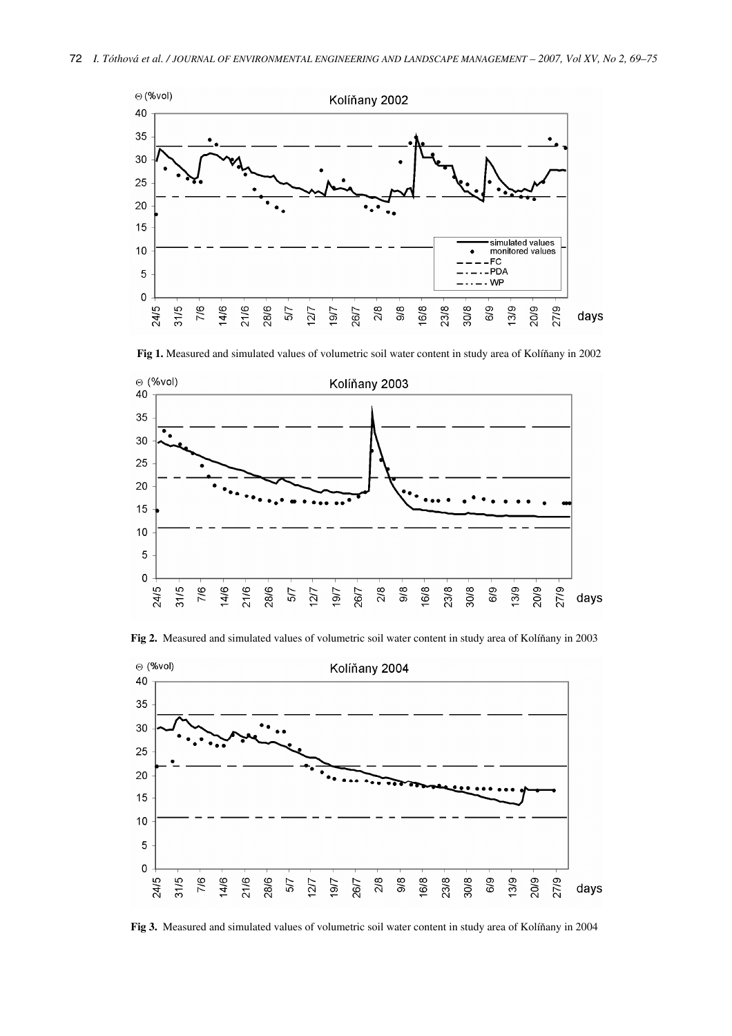

**Fig 1.** Measured and simulated values of volumetric soil water content in study area of Kolíňany in 2002



**Fig 2.** Measured and simulated values of volumetric soil water content in study area of Kolíňany in 2003



**Fig 3.** Measured and simulated values of volumetric soil water content in study area of Kolíňany in 2004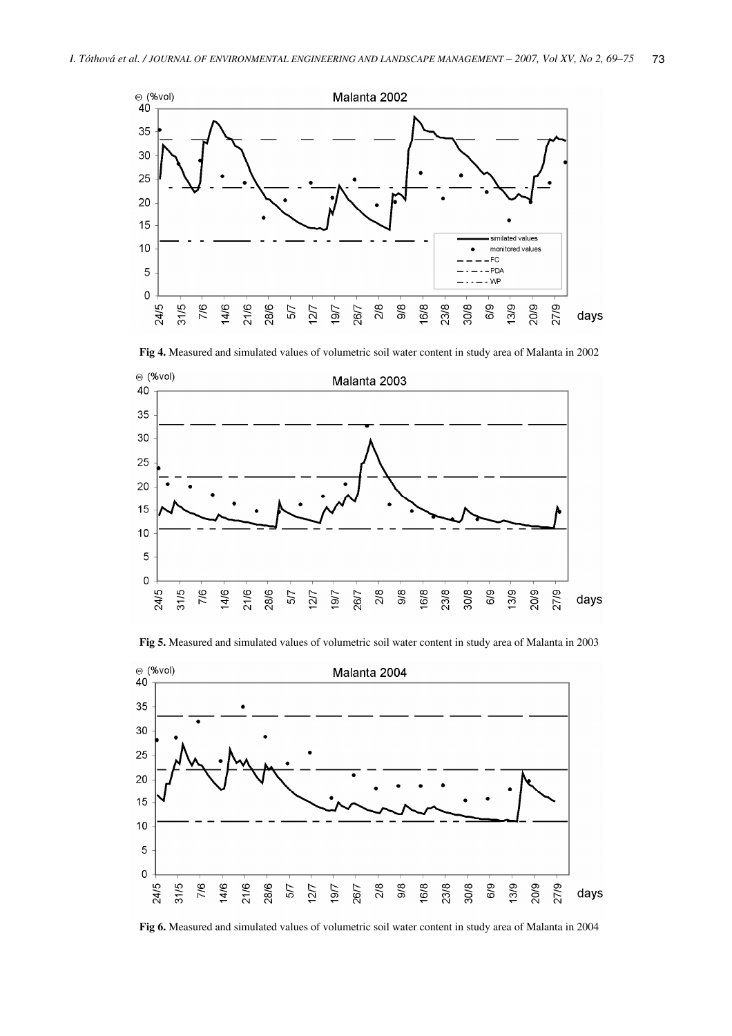

**Fig 4.** Measured and simulated values of volumetric soil water content in study area of Malanta in 2002



**Fig 5.** Measured and simulated values of volumetric soil water content in study area of Malanta in 2003



**Fig 6.** Measured and simulated values of volumetric soil water content in study area of Malanta in 2004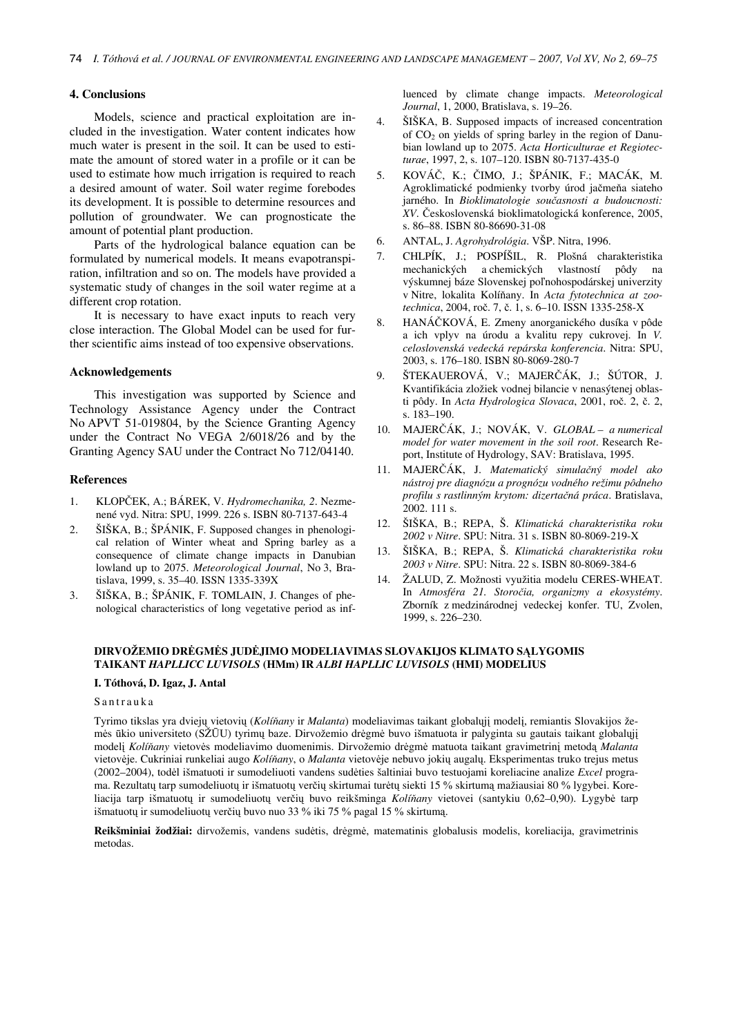### **4. Conclusions**

Models, science and practical exploitation are included in the investigation. Water content indicates how much water is present in the soil. It can be used to estimate the amount of stored water in a profile or it can be used to estimate how much irrigation is required to reach a desired amount of water. Soil water regime forebodes its development. It is possible to determine resources and pollution of groundwater. We can prognosticate the amount of potential plant production.

Parts of the hydrological balance equation can be formulated by numerical models. It means evapotranspiration, infiltration and so on. The models have provided a systematic study of changes in the soil water regime at a different crop rotation.

It is necessary to have exact inputs to reach very close interaction. The Global Model can be used for further scientific aims instead of too expensive observations.

### **Acknowledgements**

This investigation was supported by Science and Technology Assistance Agency under the Contract No APVT 51-019804, by the Science Granting Agency under the Contract No VEGA 2/6018/26 and by the Granting Agency SAU under the Contract No 712/04140.

### **References**

- 1. KLOPČEK, A.; BÁREK, V. *Hydromechanika, 2*. Nezmenené vyd. Nitra: SPU, 1999. 226 s. ISBN 80-7137-643-4
- 2. ŠIŠKA, B.; ŠPÁNIK, F. Supposed changes in phenological relation of Winter wheat and Spring barley as a consequence of climate change impacts in Danubian lowland up to 2075. *Meteorological Journal*, No 3, Bratislava, 1999, s. 35–40. ISSN 1335-339X
- 3. ŠIŠKA, B.; ŠPÁNIK, F. TOMLAIN, J. Changes of phenological characteristics of long vegetative period as inf-

luenced by climate change impacts. *Meteorological Journal*, 1, 2000, Bratislava, s. 19–26.

- 4. ŠIŠKA, B. Supposed impacts of increased concentration of  $CO<sub>2</sub>$  on yields of spring barley in the region of Danubian lowland up to 2075. *Acta Horticulturae et Regiotecturae*, 1997, 2, s. 107–120. ISBN 80-7137-435-0
- 5. KOVÁČ, K.; ČIMO, J.; ŠPÁNIK, F.; MACÁK, M. Agroklimatické podmienky tvorby úrod jačmeňa siateho jarného. In *Bioklimatologie sou*č*asnosti a budoucnosti: XV*. Československá bioklimatologická konference, 2005, s. 86–88. ISBN 80-86690-31-08
- 6. ANTAL, J. *Agrohydrológia*. VŠP. Nitra, 1996.
- 7. CHLPÍK, J.; POSPÍŠIL, R. Plošná charakteristika mechanických a chemických vlastností pôdy na výskumnej báze Slovenskej poľnohospodárskej univerzity v Nitre, lokalita Kolíňany. In *Acta fytotechnica at zootechnica*, 2004, roč. 7, č. 1, s. 6–10. ISSN 1335-258-X
- 8. HANÁČKOVÁ, E. Zmeny anorganického dusíka v pôde a ich vplyv na úrodu a kvalitu repy cukrovej. In *V. celoslovenská vedecká repárska konferencia*. Nitra: SPU, 2003, s. 176–180. ISBN 80-8069-280-7
- 9. ŠTEKAUEROVÁ, V.; MAJERČÁK, J.; ŠÚTOR, J. Kvantifikácia zložiek vodnej bilancie v nenasýtenej oblasti pôdy. In *Acta Hydrologica Slovaca*, 2001, roč. 2, č. 2, s. 183–190.
- 10. MAJERČÁK, J.; NOVÁK, V. *GLOBAL a numerical model for water movement in the soil root*. Research Report, Institute of Hydrology, SAV: Bratislava, 1995.
- 11. MAJERČÁK, J. *Matematický simula*č*ný model ako nástroj pre diagnózu a prognózu vodného režimu pôdneho profilu s rastlinným krytom: dizerta*č*ná práca*. Bratislava, 2002. 111 s.
- 12. ŠIŠKA, B.; REPA, Š. *Klimatická charakteristika roku 2002 v Nitre*. SPU: Nitra. 31 s. ISBN 80-8069-219-X
- 13. ŠIŠKA, B.; REPA, Š. *Klimatická charakteristika roku 2003 v Nitre*. SPU: Nitra. 22 s. ISBN 80-8069-384-6
- 14. ŽALUD, Z. Možnosti využitia modelu CERES-WHEAT. In *Atmosféra 21. Storo*č*ia, organizmy a ekosystémy*. Zborník z medzinárodnej vedeckej konfer. TU, Zvolen, 1999, s. 226–230.

### **DIRVOŽEMIO DR**Ė**GM**Ė**S JUD**Ė**JIMO MODELIAVIMAS SLOVAKIJOS KLIMATO S**Ą**LYGOMIS TAIKANT** *HAPLLICC LUVISOLS* **(HMm) IR** *ALBI HAPLLIC LUVISOLS* **(HMI) MODELIUS**

### **I. Tóthová, D. Igaz, J. Antal**

#### Santrauka

Tyrimo tikslas yra dviejų vietovių (*Kolí*ň*any* ir *Malanta*) modeliavimas taikant globalųjį modelį, remiantis Slovakijos žemės ūkio universiteto (SŽŪU) tyrimų baze. Dirvožemio drėgmė buvo išmatuota ir palyginta su gautais taikant globalųjį modelį *Kolí*ň*any* vietovės modeliavimo duomenimis. Dirvožemio drėgmė matuota taikant gravimetrinį metodą *Malanta* vietovėje. Cukriniai runkeliai augo *Kolí*ň*any*, o *Malanta* vietovėje nebuvo jokių augalų. Eksperimentas truko trejus metus (2002–2004), todėl išmatuoti ir sumodeliuoti vandens sudėties šaltiniai buvo testuojami koreliacine analize *Excel* programa. Rezultatų tarp sumodeliuotų ir išmatuotų verčių skirtumai turėtų siekti 15 % skirtumą mažiausiai 80 % lygybei. Koreliacija tarp išmatuotų ir sumodeliuotų verčių buvo reikšminga *Kolí*ň*any* vietovei (santykiu 0,62–0,90). Lygybė tarp išmatuotų ir sumodeliuotų verčių buvo nuo 33 % iki 75 % pagal 15 % skirtumą.

**Reikšminiai žodžiai:** dirvožemis, vandens sudėtis, drėgmė, matematinis globalusis modelis, koreliacija, gravimetrinis metodas.